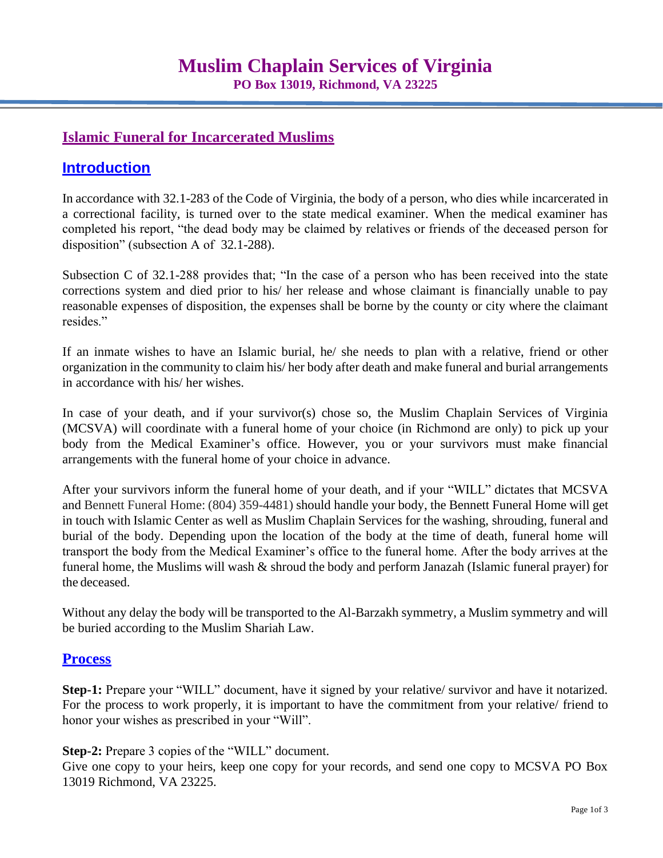## **Islamic Funeral for Incarcerated Muslims**

# **Introduction**

In accordance with 32.1-283 of the Code of Virginia, the body of a person, who dies while incarcerated in a correctional facility, is turned over to the state medical examiner. When the medical examiner has completed his report, "the dead body may be claimed by relatives or friends of the deceased person for disposition" (subsection A of 32.1-288).

Subsection C of 32.1-288 provides that; "In the case of a person who has been received into the state corrections system and died prior to his/ her release and whose claimant is financially unable to pay reasonable expenses of disposition, the expenses shall be borne by the county or city where the claimant resides."

If an inmate wishes to have an Islamic burial, he/ she needs to plan with a relative, friend or other organization in the community to claim his/ her body after death and make funeral and burial arrangements in accordance with his/ her wishes.

In case of your death, and if your survivor(s) chose so, the Muslim Chaplain Services of Virginia (MCSVA) will coordinate with a funeral home of your choice (in Richmond are only) to pick up your body from the Medical Examiner's office. However, you or your survivors must make financial arrangements with the funeral home of your choice in advance.

After your survivors inform the funeral home of your death, and if your "WILL" dictates that MCSVA and Bennett Funeral Home: (804) 359-4481) should handle your body, the Bennett Funeral Home will get in touch with Islamic Center as well as Muslim Chaplain Services for the washing, shrouding, funeral and burial of the body. Depending upon the location of the body at the time of death, funeral home will transport the body from the Medical Examiner's office to the funeral home. After the body arrives at the funeral home, the Muslims will wash & shroud the body and perform Janazah (Islamic funeral prayer) for the deceased.

Without any delay the body will be transported to the Al-Barzakh symmetry, a Muslim symmetry and will be buried according to the Muslim Shariah Law.

### **Process**

**Step-1:** Prepare your "WILL" document, have it signed by your relative/ survivor and have it notarized. For the process to work properly, it is important to have the commitment from your relative/ friend to honor your wishes as prescribed in your "Will".

**Step-2:** Prepare 3 copies of the "WILL" document.

Give one copy to your heirs, keep one copy for your records, and send one copy to MCSVA PO Box 13019 Richmond, VA 23225.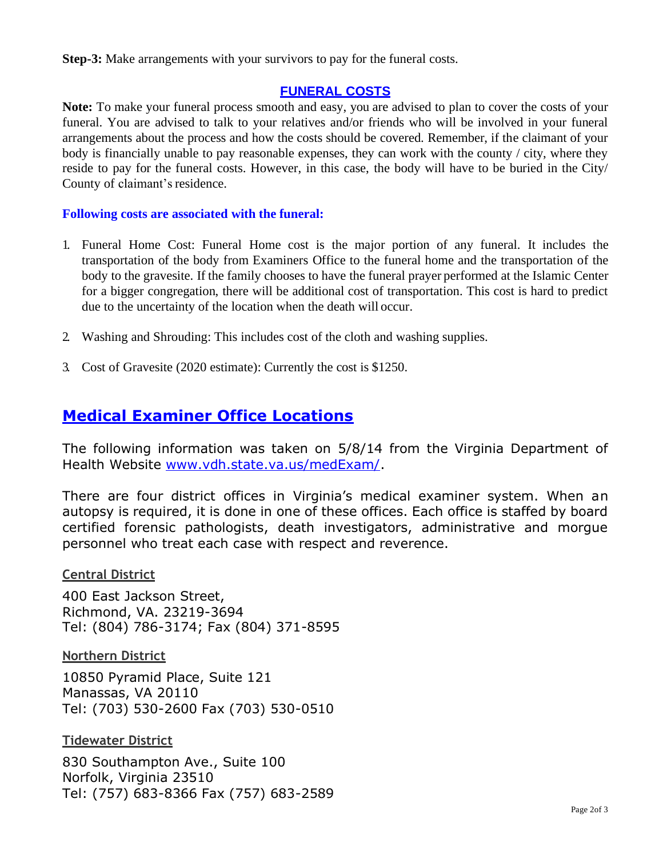**Step-3:** Make arrangements with your survivors to pay for the funeral costs.

## **FUNERAL COSTS**

**Note:** To make your funeral process smooth and easy, you are advised to plan to cover the costs of your funeral. You are advised to talk to your relatives and/or friends who will be involved in your funeral arrangements about the process and how the costs should be covered. Remember, if the claimant of your body is financially unable to pay reasonable expenses, they can work with the county / city, where they reside to pay for the funeral costs. However, in this case, the body will have to be buried in the City/ County of claimant's residence.

### **Following costs are associated with the funeral:**

- 1. Funeral Home Cost: Funeral Home cost is the major portion of any funeral. It includes the transportation of the body from Examiners Office to the funeral home and the transportation of the body to the gravesite. If the family chooses to have the funeral prayer performed at the Islamic Center for a bigger congregation, there will be additional cost of transportation. This cost is hard to predict due to the uncertainty of the location when the death will occur.
- 2. Washing and Shrouding: This includes cost of the cloth and washing supplies.
- 3. Cost of Gravesite (2020 estimate): Currently the cost is \$1250.

# **Medical Examiner Office Locations**

The following information was taken on 5/8/14 from the Virginia Department of Health Website [www.vdh.state.va.us/medExam/.](http://www.vdh.state.va.us/medExam/)

There are four district offices in Virginia's medical examiner system. When an autopsy is required, it is done in one of these offices. Each office is staffed by board certified forensic pathologists, death investigators, administrative and morgue personnel who treat each case with respect and reverence.

### **Central District**

400 East Jackson Street, Richmond, VA. 23219-3694 Tel: (804) 786-3174; Fax (804) 371-8595

**Northern District**

10850 Pyramid Place, Suite 121 Manassas, VA 20110 Tel: (703) 530-2600 Fax (703) 530-0510

**Tidewater District**

830 Southampton Ave., Suite 100 Norfolk, Virginia 23510 Tel: (757) 683-8366 Fax (757) 683-2589